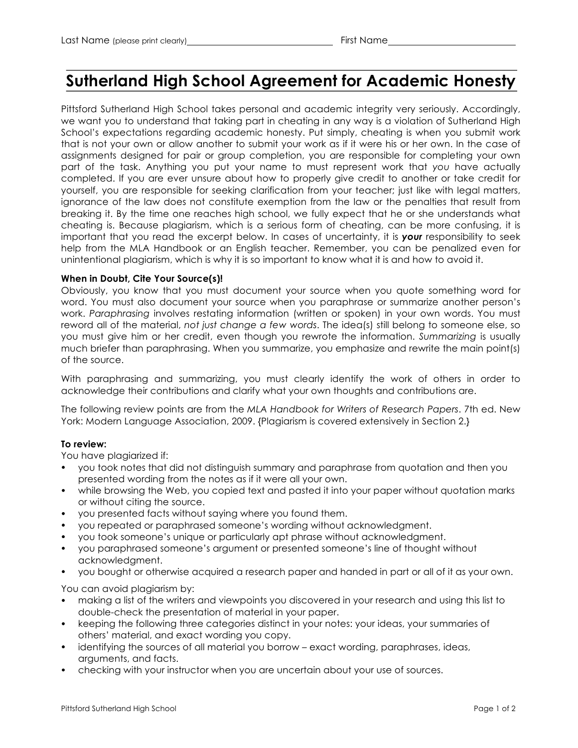# **Sutherland High School Agreement for Academic Honesty**

Pittsford Sutherland High School takes personal and academic integrity very seriously. Accordingly, we want you to understand that taking part in cheating in any way is a violation of Sutherland High School's expectations regarding academic honesty. Put simply, cheating is when you submit work that is not your own or allow another to submit your work as if it were his or her own. In the case of assignments designed for pair or group completion, you are responsible for completing your own part of the task. Anything you put your name to must represent work that *you* have actually completed. If you are ever unsure about how to properly give credit to another or take credit for yourself, you are responsible for seeking clarification from your teacher; just like with legal matters, ignorance of the law does not constitute exemption from the law or the penalties that result from breaking it. By the time one reaches high school, we fully expect that he or she understands what cheating is. Because plagiarism, which is a serious form of cheating, can be more confusing, it is important that you read the excerpt below. In cases of uncertainty, it is *your* responsibility to seek help from the MLA Handbook or an English teacher. Remember, you can be penalized even for unintentional plagiarism, which is why it is so important to know what it is and how to avoid it.

## **When in Doubt, Cite Your Source(s)!**

Obviously, you know that you must document your source when you quote something word for word. You must also document your source when you paraphrase or summarize another person's work. *Paraphrasing* involves restating information (written or spoken) in your own words. You must reword all of the material, *not just change a few words*. The idea(s) still belong to someone else, so you must give him or her credit, even though you rewrote the information. *Summarizing* is usually much briefer than paraphrasing. When you summarize, you emphasize and rewrite the main point(s) of the source.

With paraphrasing and summarizing, you must clearly identify the work of others in order to acknowledge their contributions and clarify what your own thoughts and contributions are.

The following review points are from the *MLA Handbook for Writers of Research Papers*. 7th ed. New York: Modern Language Association, 2009. {Plagiarism is covered extensively in Section 2.}

## **To review:**

You have plagiarized if:

- you took notes that did not distinguish summary and paraphrase from quotation and then you presented wording from the notes as if it were all your own.
- while browsing the Web, you copied text and pasted it into your paper without quotation marks or without citing the source.
- you presented facts without saying where you found them.
- you repeated or paraphrased someone's wording without acknowledgment.
- you took someone's unique or particularly apt phrase without acknowledgment.
- you paraphrased someone's argument or presented someone's line of thought without acknowledgment.
- you bought or otherwise acquired a research paper and handed in part or all of it as your own.

You can avoid plagiarism by:

- making a list of the writers and viewpoints you discovered in your research and using this list to double-check the presentation of material in your paper.
- keeping the following three categories distinct in your notes: your ideas, your summaries of others' material, and exact wording you copy.
- identifying the sources of all material you borrow exact wording, paraphrases, ideas, arguments, and facts.
- checking with your instructor when you are uncertain about your use of sources.